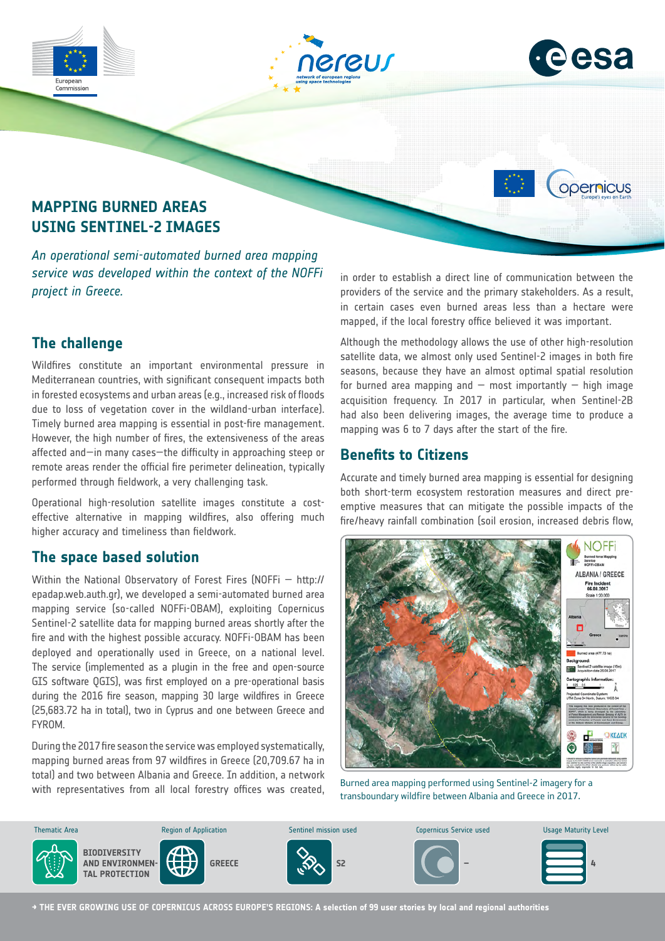

### **The challenge**

Wildfires constitute an important environmental pressure in Mediterranean countries, with significant consequent impacts both in forested ecosystems and urban areas (e.g., increased risk of floods due to loss of vegetation cover in the wildland-urban interface). Timely burned area mapping is essential in post-fire management. However, the high number of fires, the extensiveness of the areas affected and—in many cases—the difficulty in approaching steep or remote areas render the official fire perimeter delineation, typically performed through fieldwork, a very challenging task.

Operational high-resolution satellite images constitute a costeffective alternative in mapping wildfires, also offering much higher accuracy and timeliness than fieldwork.

#### **The space based solution**

Within the National Observatory of Forest Fires (NOFFi — http:// epadap.web.auth.gr), we developed a semi-automated burned area mapping service (so-called NOFFi-OBAM), exploiting Copernicus Sentinel-2 satellite data for mapping burned areas shortly after the fire and with the highest possible accuracy. NOFFi-OBAM has been deployed and operationally used in Greece, on a national level. The service (implemented as a plugin in the free and open-source GIS software QGIS), was first employed on a pre-operational basis during the 2016 fire season, mapping 30 large wildfires in Greece (25,683.72 ha in total), two in Cyprus and one between Greece and FYROM.

During the 2017 fire season the service was employed systematically, mapping burned areas from 97 wildfires in Greece (20,709.67 ha in total) and two between Albania and Greece. In addition, a network with representatives from all local forestry offices was created,

providers of the service and the primary stakeholders. As a result, in certain cases even burned areas less than a hectare were mapped, if the local forestry office believed it was important.

Although the methodology allows the use of other high-resolution satellite data, we almost only used Sentinel-2 images in both fire seasons, because they have an almost optimal spatial resolution for burned area mapping and  $-$  most importantly  $-$  high image acquisition frequency. In 2017 in particular, when Sentinel-2B had also been delivering images, the average time to produce a mapping was 6 to 7 days after the start of the fire.

#### **Benefits to Citizens**

Accurate and timely burned area mapping is essential for designing both short-term ecosystem restoration measures and direct preemptive measures that can mitigate the possible impacts of the fire/heavy rainfall combination (soil erosion, increased debris flow,



Burned area mapping performed using Sentinel-2 imagery for a transboundary wildfire between Albania and Greece in 2017.



**→ THE EVER GROWING USE OF COPERNICUS ACROSS EUROPE'S REGIONS: A selection of 99 user stories by local and regional authorities**